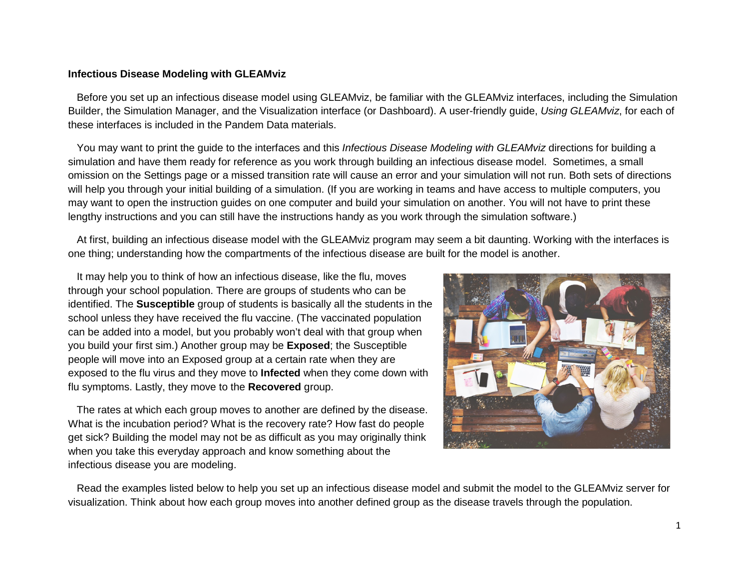## **Infectious Disease Modeling with GLEAMviz**

 Before you set up an infectious disease model using GLEAMviz, be familiar with the GLEAMviz interfaces, including the Simulation Builder, the Simulation Manager, and the Visualization interface (or Dashboard). A user-friendly guide, *Using GLEAMviz*, for each of these interfaces is included in the Pandem Data materials.

 You may want to print the guide to the interfaces and this *Infectious Disease Modeling with GLEAMviz* directions for building a simulation and have them ready for reference as you work through building an infectious disease model. Sometimes, a small omission on the Settings page or a missed transition rate will cause an error and your simulation will not run. Both sets of directions will help you through your initial building of a simulation. (If you are working in teams and have access to multiple computers, you may want to open the instruction guides on one computer and build your simulation on another. You will not have to print these lengthy instructions and you can still have the instructions handy as you work through the simulation software.)

 At first, building an infectious disease model with the GLEAMviz program may seem a bit daunting. Working with the interfaces is one thing; understanding how the compartments of the infectious disease are built for the model is another.

 It may help you to think of how an infectious disease, like the flu, moves through your school population. There are groups of students who can be identified. The **Susceptible** group of students is basically all the students in the school unless they have received the flu vaccine. (The vaccinated population can be added into a model, but you probably won't deal with that group when you build your first sim.) Another group may be **Exposed**; the Susceptible people will move into an Exposed group at a certain rate when they are exposed to the flu virus and they move to **Infected** when they come down with flu symptoms. Lastly, they move to the **Recovered** group.

 The rates at which each group moves to another are defined by the disease. What is the incubation period? What is the recovery rate? How fast do people get sick? Building the model may not be as difficult as you may originally think when you take this everyday approach and know something about the infectious disease you are modeling.



 Read the examples listed below to help you set up an infectious disease model and submit the model to the GLEAMviz server for visualization. Think about how each group moves into another defined group as the disease travels through the population.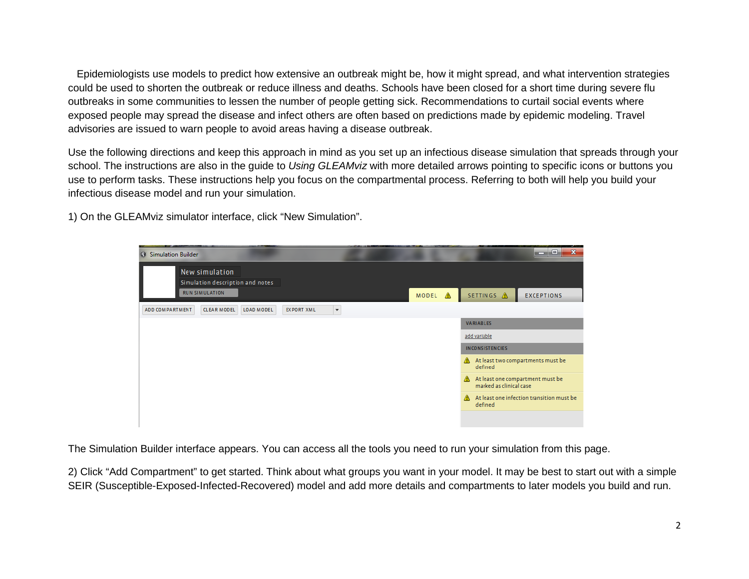Epidemiologists use models to predict how extensive an outbreak might be, how it might spread, and what intervention strategies could be used to shorten the outbreak or reduce illness and deaths. Schools have been closed for a short time during severe flu outbreaks in some communities to lessen the number of people getting sick. Recommendations to curtail social events where exposed people may spread the disease and infect others are often based on predictions made by epidemic modeling. Travel advisories are issued to warn people to avoid areas having a disease outbreak.

Use the following directions and keep this approach in mind as you set up an infectious disease simulation that spreads through your school. The instructions are also in the guide to *Using GLEAMviz* with more detailed arrows pointing to specific icons or buttons you use to perform tasks. These instructions help you focus on the compartmental process. Referring to both will help you build your infectious disease model and run your simulation.

1) On the GLEAMviz simulator interface, click "New Simulation".

| <b>13 Simulation Builder</b> |                                                    |            |                   |                          |              |   |                              | $\mathbf{x}$<br>ا قارص                    |
|------------------------------|----------------------------------------------------|------------|-------------------|--------------------------|--------------|---|------------------------------|-------------------------------------------|
|                              | New simulation<br>Simulation description and notes |            |                   |                          |              |   |                              |                                           |
|                              | <b>RUN SIMULATION</b>                              |            |                   |                          | <b>MODEL</b> | ◬ | SETTINGS A                   | <b>EXCEPTIONS</b>                         |
| ADD COMPARTMENT              | <b>CLEAR MODEL</b>                                 | LOAD MODEL | <b>EXPORT XML</b> | $\overline{\phantom{a}}$ |              |   |                              |                                           |
|                              |                                                    |            |                   |                          |              |   | VARIABLES                    |                                           |
|                              |                                                    |            |                   |                          |              |   | add variable                 |                                           |
|                              |                                                    |            |                   |                          |              |   | <b>INCONSISTENCIES</b>       |                                           |
|                              |                                                    |            |                   |                          |              |   | Δ<br>defined                 | At least two compartments must be         |
|                              |                                                    |            |                   |                          |              |   | Δ<br>marked as clinical case | At least one compartment must be          |
|                              |                                                    |            |                   |                          |              |   | A<br>defined                 | At least one infection transition must be |
|                              |                                                    |            |                   |                          |              |   |                              |                                           |

The Simulation Builder interface appears. You can access all the tools you need to run your simulation from this page.

2) Click "Add Compartment" to get started. Think about what groups you want in your model. It may be best to start out with a simple SEIR (Susceptible-Exposed-Infected-Recovered) model and add more details and compartments to later models you build and run.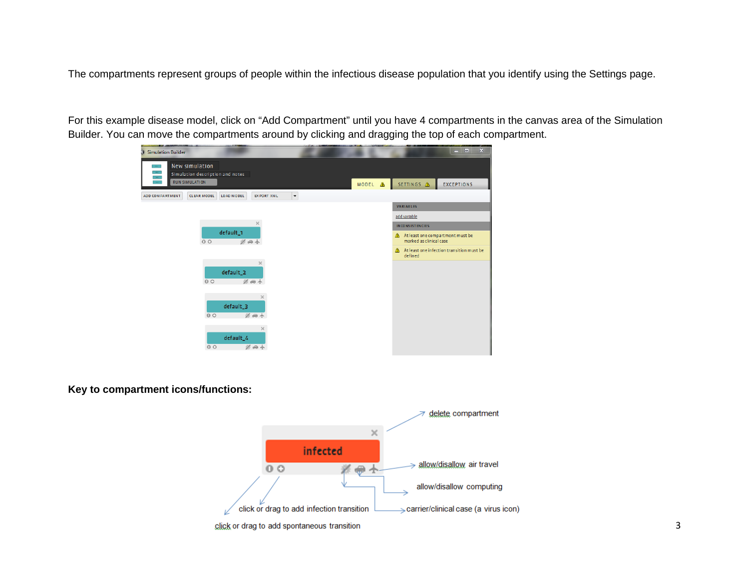The compartments represent groups of people within the infectious disease population that you identify using the Settings page.

For this example disease model, click on "Add Compartment" until you have 4 compartments in the canvas area of the Simulation Builder. You can move the compartments around by clicking and dragging the top of each compartment.



## **Key to compartment icons/functions:**



click or drag to add spontaneous transition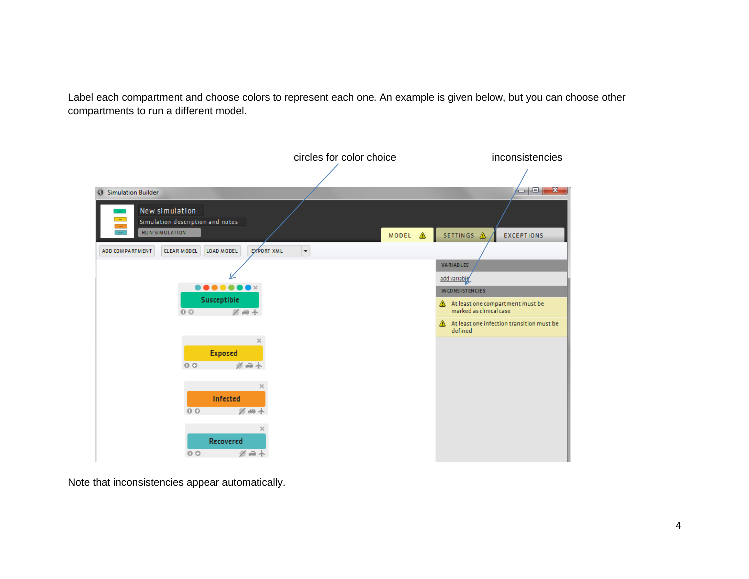Label each compartment and choose colors to represent each one. An example is given below, but you can choose other compartments to run a different model.



Note that inconsistencies appear automatically.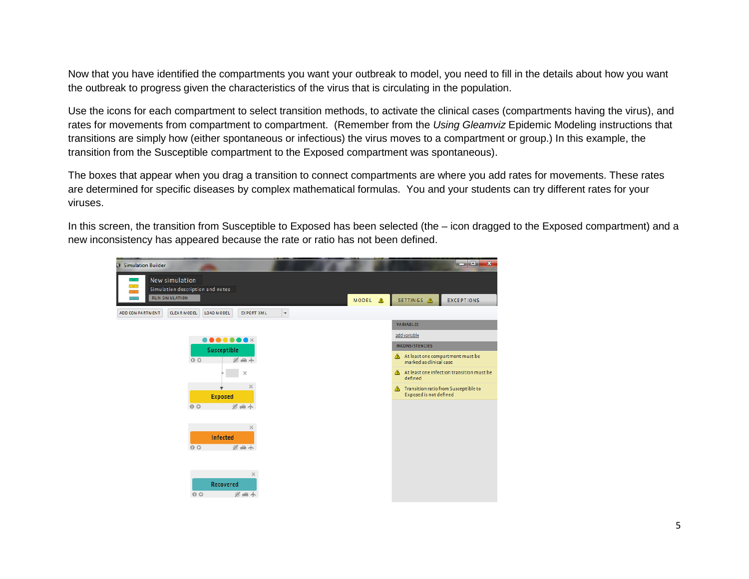Now that you have identified the compartments you want your outbreak to model, you need to fill in the details about how you want the outbreak to progress given the characteristics of the virus that is circulating in the population.

Use the icons for each compartment to select transition methods, to activate the clinical cases (compartments having the virus), and rates for movements from compartment to compartment. (Remember from the *Using Gleamviz* Epidemic Modeling instructions that transitions are simply how (either spontaneous or infectious) the virus moves to a compartment or group.) In this example, the transition from the Susceptible compartment to the Exposed compartment was spontaneous).

The boxes that appear when you drag a transition to connect compartments are where you add rates for movements. These rates are determined for specific diseases by complex mathematical formulas. You and your students can try different rates for your viruses.

In this screen, the transition from Susceptible to Exposed has been selected (the – icon dragged to the Exposed compartment) and a new inconsistency has appeared because the rate or ratio has not been defined.

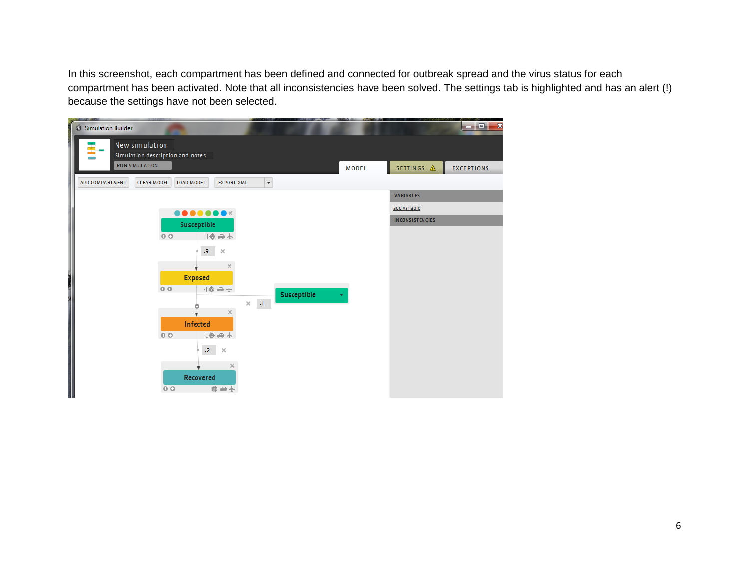In this screenshot, each compartment has been defined and connected for outbreak spread and the virus status for each compartment has been activated. Note that all inconsistencies have been solved. The settings tab is highlighted and has an alert (!) because the settings have not been selected.

| <b>G</b> Simulation Builder |                                  |                                                                                               |                                      |             |       |                        | a de la<br>$\mathbf{x}$ |
|-----------------------------|----------------------------------|-----------------------------------------------------------------------------------------------|--------------------------------------|-------------|-------|------------------------|-------------------------|
|                             | New simulation                   |                                                                                               |                                      |             |       |                        |                         |
|                             | Simulation description and notes |                                                                                               |                                      |             |       |                        |                         |
| <b>RUN SIMULATION</b>       |                                  |                                                                                               |                                      |             | MODEL | SETTINGS A             | <b>EXCEPTIONS</b>       |
| ADD COMPARTMENT             | <b>CLEAR MODEL</b><br>LOAD MODEL | <b>EXPORT XML</b>                                                                             | $\overline{\phantom{a}}$             |             |       |                        |                         |
|                             |                                  |                                                                                               |                                      |             |       | VARIABLES              |                         |
|                             |                                  | $\begin{array}{c} \bullet\bullet\bullet\bullet\bullet\bullet\bullet\bullet\times \end{array}$ |                                      |             |       | add variable           |                         |
|                             |                                  | Susceptible                                                                                   |                                      |             |       | <b>INCONSISTENCIES</b> |                         |
|                             | 0 <sup>o</sup>                   | 1卷 画 小                                                                                        |                                      |             |       |                        |                         |
|                             |                                  | 9.<br>$\times$                                                                                |                                      |             |       |                        |                         |
|                             |                                  |                                                                                               |                                      |             |       |                        |                         |
|                             |                                  | $\times$                                                                                      |                                      |             |       |                        |                         |
|                             | <b>Exposed</b>                   |                                                                                               |                                      |             |       |                        |                         |
|                             | 0 <sup>o</sup>                   | 1卷 画 小                                                                                        |                                      | Susceptible | ٠     |                        |                         |
|                             |                                  | $\times$                                                                                      | $\langle A \rangle$<br>$\mathcal{H}$ |             |       |                        |                         |
|                             | Infected                         |                                                                                               |                                      |             |       |                        |                         |
|                             | 0 <sup>o</sup>                   | 1卷画小                                                                                          |                                      |             |       |                        |                         |
|                             |                                  |                                                                                               |                                      |             |       |                        |                         |
|                             |                                  | .2 $\times$                                                                                   |                                      |             |       |                        |                         |
|                             |                                  | $\times$                                                                                      |                                      |             |       |                        |                         |
|                             |                                  | Recovered                                                                                     |                                      |             |       |                        |                         |
|                             | 0 <sup>o</sup>                   | 券画小                                                                                           |                                      |             |       |                        |                         |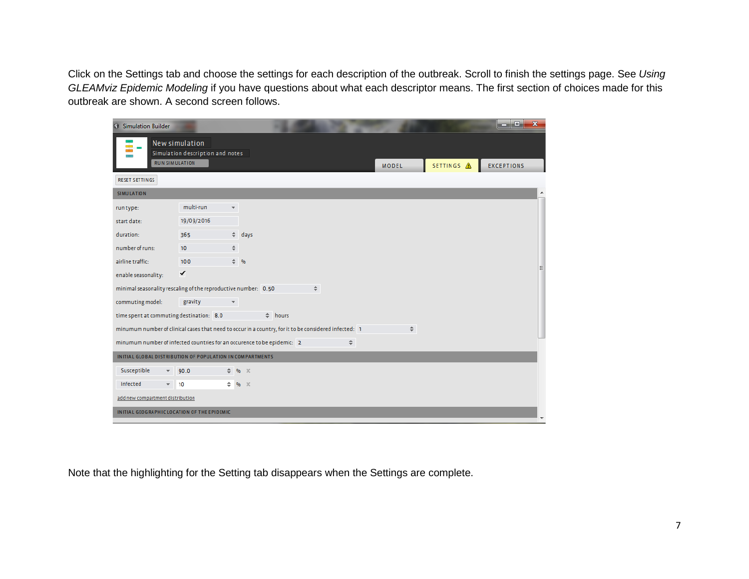Click on the Settings tab and choose the settings for each description of the outbreak. Scroll to finish the settings page. See *Using GLEAMviz Epidemic Modeling* if you have questions about what each descriptor means. The first section of choices made for this outbreak are shown. A second screen follows.

| <b>G</b> Simulation Builder                                             |                                  |                              |                                                                                                       |        |               |            | ا و د<br>$\mathbf{x}$ |
|-------------------------------------------------------------------------|----------------------------------|------------------------------|-------------------------------------------------------------------------------------------------------|--------|---------------|------------|-----------------------|
| New simulation                                                          | Simulation description and notes |                              |                                                                                                       |        |               |            |                       |
| <b>RUN SIMULATION</b>                                                   |                                  |                              |                                                                                                       |        | <b>MODEL</b>  | SETTINGS A | <b>EXCEPTIONS</b>     |
| RESET SETTINGS                                                          |                                  |                              |                                                                                                       |        |               |            |                       |
| <b>SIMULATION</b>                                                       |                                  |                              |                                                                                                       |        |               |            | ۰                     |
| run type:                                                               | multi-run                        |                              |                                                                                                       |        |               |            |                       |
| start date:                                                             | 19/09/2016                       |                              |                                                                                                       |        |               |            |                       |
| duration:                                                               | 365                              | $\triangleq$ days            |                                                                                                       |        |               |            |                       |
| number of runs:                                                         | 10                               |                              |                                                                                                       |        |               |            |                       |
| airline traffic:                                                        | 100                              | $\hat{=}$ %                  |                                                                                                       |        |               |            | Ξ                     |
| enable seasonality:                                                     | ✓                                |                              |                                                                                                       |        |               |            |                       |
| minimal seasonality rescaling of the reproductive number: 0.50          |                                  |                              |                                                                                                       | ÷      |               |            |                       |
| commuting model:                                                        | gravity                          |                              |                                                                                                       |        |               |            |                       |
| time spent at commuting destination: 8.0                                |                                  |                              | $\triangleq$ hours                                                                                    |        |               |            |                       |
|                                                                         |                                  |                              | minumum number of clinical cases that need to occur in a country, for it to be considered infected: 1 |        | $\Rightarrow$ |            |                       |
| minumum number of infected countries for an occurence to be epidemic: 2 |                                  |                              |                                                                                                       | $\div$ |               |            |                       |
| INITIAL GLOBAL DISTRIBUTION OF POPULATION IN COMPARTMENTS               |                                  |                              |                                                                                                       |        |               |            |                       |
| Susceptible                                                             | 90.0                             | 9 <sub>b</sub>               | $\times$                                                                                              |        |               |            |                       |
| Infected<br>$-10$                                                       |                                  | $\Leftrightarrow$ % $\times$ |                                                                                                       |        |               |            |                       |
| add new compartment distribution                                        |                                  |                              |                                                                                                       |        |               |            |                       |
| INITIAL GEOGRAPHIC LOCATION OF THE EPIDEMIC                             |                                  |                              |                                                                                                       |        |               |            |                       |

Note that the highlighting for the Setting tab disappears when the Settings are complete.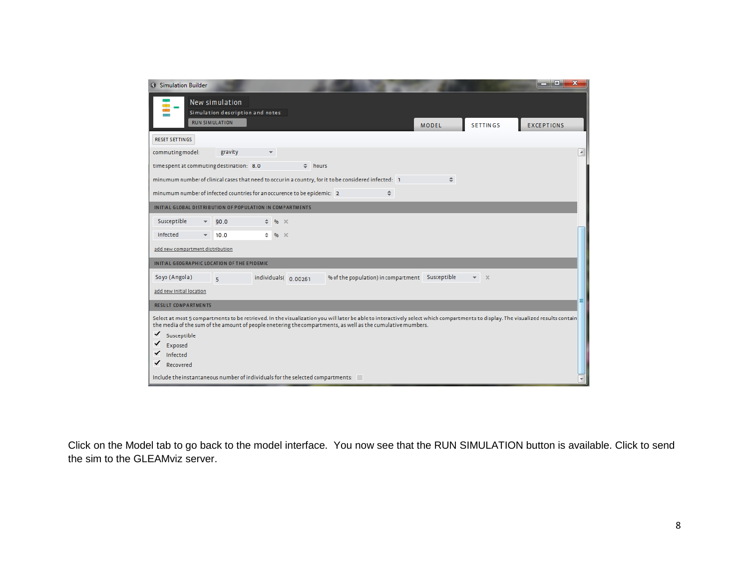| <b>G</b> Simulation Builder                                                                                                                                                      |              |                                          | e.<br><b>CONTRACTOR</b>  |  |  |  |
|----------------------------------------------------------------------------------------------------------------------------------------------------------------------------------|--------------|------------------------------------------|--------------------------|--|--|--|
| New simulation<br>Simulation description and notes                                                                                                                               |              |                                          |                          |  |  |  |
| <b>RUN SIMULATION</b>                                                                                                                                                            | <b>MODEL</b> | <b>SETTINGS</b>                          | <b>EXCEPTIONS</b>        |  |  |  |
| RESET SETTINGS                                                                                                                                                                   |              |                                          |                          |  |  |  |
| commuting model:<br>gravity                                                                                                                                                      |              |                                          | $\overline{\phantom{a}}$ |  |  |  |
| time spent at commuting destination: 8.0<br>$\hat{=}$ hours                                                                                                                      |              |                                          |                          |  |  |  |
| minumum number of clinical cases that need to occur in a country, for it to be considered infected: 1                                                                            | $\div$       |                                          |                          |  |  |  |
| minumum number of infected countries for an occurence to be epidemic: 2<br>÷                                                                                                     |              |                                          |                          |  |  |  |
| INITIAL GLOBAL DISTRIBUTION OF POPULATION IN COMPARTMENTS                                                                                                                        |              |                                          |                          |  |  |  |
| Susceptible<br>90.0<br>0 <sub>b</sub><br>$\times$                                                                                                                                |              |                                          |                          |  |  |  |
| Infected<br>$%$ $\times$<br>10.0<br>$\overline{\phantom{a}}$                                                                                                                     |              |                                          |                          |  |  |  |
| add new compartment distribution                                                                                                                                                 |              |                                          |                          |  |  |  |
| INITIAL GEOGRAPHIC LOCATION OF THE EPIDEMIC                                                                                                                                      |              |                                          |                          |  |  |  |
| Soyo (Angola)<br>% of the population) in compartment Susceptible<br>individuals(0.00261<br>$\mathbf{g}$                                                                          |              | $\mathbb{R}$<br>$\overline{\phantom{a}}$ |                          |  |  |  |
| add new Initial location                                                                                                                                                         |              |                                          |                          |  |  |  |
| <b>RESULT COMPARTMENTS</b>                                                                                                                                                       |              |                                          |                          |  |  |  |
| Select at most 5 compartments to be retrieved. In the visualization you will later be able to interactively select which compartments to display. The visualized results contain |              |                                          |                          |  |  |  |
| the media of the sum of the amount of people enetering the compartments, as well as the cumulative mumbers.                                                                      |              |                                          |                          |  |  |  |
| ✓<br>Susceptible<br>✓                                                                                                                                                            |              |                                          |                          |  |  |  |
| Exposed<br>Infected                                                                                                                                                              |              |                                          |                          |  |  |  |
| Recovered                                                                                                                                                                        |              |                                          |                          |  |  |  |
| Include the instantaneous number of individuals for the selected compartments:                                                                                                   |              |                                          |                          |  |  |  |

Click on the Model tab to go back to the model interface. You now see that the RUN SIMULATION button is available. Click to send the sim to the GLEAMviz server.